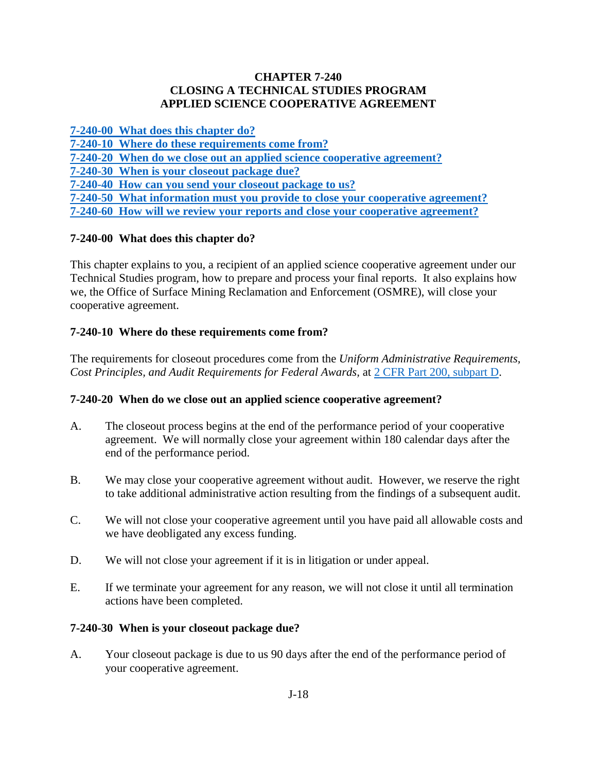### **CHAPTER 7-240 CLOSING A TECHNICAL STUDIES PROGRAM APPLIED SCIENCE COOPERATIVE AGREEMENT**

**[7-240-00 What does this chapter do?](#page-0-0)**

- **[7-240-10 Where do these requirements come](#page-0-1) from?**
- **7-240-20 [When do we close out an applied science cooperative agreement?](#page-0-2)**

<span id="page-0-0"></span>**[7-240-30 When is your closeout package due?](#page-0-3)**

**[7-240-40 How can you send your closeout package to us?](#page-1-0)**

**[7-240-50 What information must you provide to close your cooperative agreement?](#page-1-1)**

**7-240-60 How [will we review your reports and close your cooperative agreement?](#page-1-2)** 

# **7-240-00 What does this chapter do?**

This chapter explains to you, a recipient of an applied science cooperative agreement under our Technical Studies program, how to prepare and process your final reports. It also explains how we, the Office of Surface Mining Reclamation and Enforcement (OSMRE), will close your cooperative agreement.

# <span id="page-0-1"></span>**7-240-10 Where do these requirements come from?**

The requirements for closeout procedures come from the *Uniform Administrative Requirements, Cost Principles, and Audit Requirements for Federal Awards,* at [2 CFR Part 200, subpart D.](http://www.ecfr.gov/cgi-bin/text-idx?SID=704683b1fd8e579c28d796d8b73e0e79&node=pt2.1.200&rgn=div5)

## <span id="page-0-2"></span>**7-240-20 When do we close out an applied science cooperative agreement?**

- A. The closeout process begins at the end of the performance period of your cooperative agreement. We will normally close your agreement within 180 calendar days after the end of the performance period.
- B. We may close your cooperative agreement without audit. However, we reserve the right to take additional administrative action resulting from the findings of a subsequent audit.
- C. We will not close your cooperative agreement until you have paid all allowable costs and we have deobligated any excess funding.
- D. We will not close your agreement if it is in litigation or under appeal.
- E. If we terminate your agreement for any reason, we will not close it until all termination actions have been completed.

## <span id="page-0-3"></span>**7-240-30 When is your closeout package due?**

A. Your closeout package is due to us 90 days after the end of the performance period of your cooperative agreement.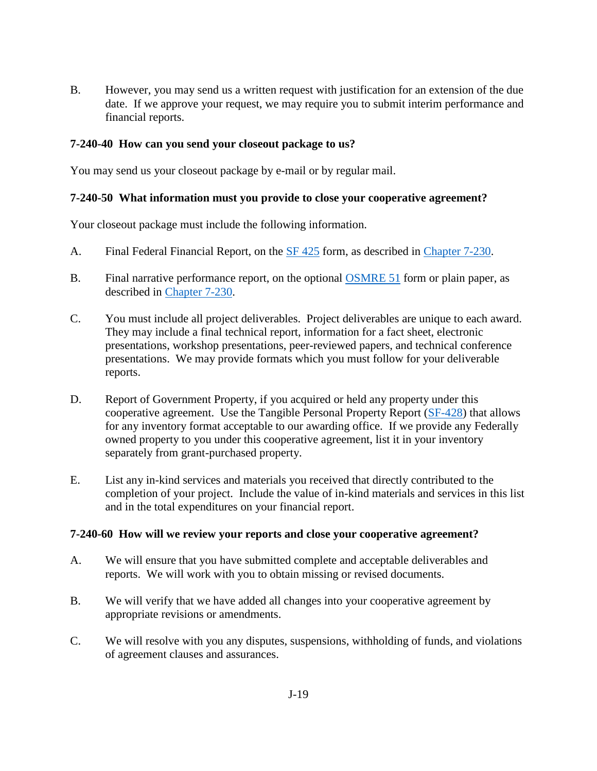B. However, you may send us a written request with justification for an extension of the due date. If we approve your request, we may require you to submit interim performance and financial reports.

### <span id="page-1-0"></span>**7-240-40 How can you send your closeout package to us?**

You may send us your closeout package by e-mail or by regular mail.

### <span id="page-1-1"></span>**7-240-50 What information must you provide to close your cooperative agreement?**

Your closeout package must include the following information.

- A. Final Federal Financial Report, on the [SF 425](http://www.whitehouse.gov/sites/default/files/omb/grants/approved_forms/SF-425.pdf) form, as described in [Chapter 7-230.](https://www.osmre.gov/lrg/fam/7-230.pdf)
- B. Final narrative performance report, on the optional [OSMRE 51](http://www.osmre.gov/resources/forms/OSM51.pdf) form or plain paper, as described in [Chapter 7-230.](https://www.osmre.gov/lrg/fam/7-230.pdf)
- C. You must include all project deliverables. Project deliverables are unique to each award. They may include a final technical report, information for a fact sheet, electronic presentations, workshop presentations, peer-reviewed papers, and technical conference presentations. We may provide formats which you must follow for your deliverable reports.
- D. Report of Government Property, if you acquired or held any property under this cooperative agreement. Use the Tangible Personal Property Report [\(SF-428\)](https://www.whitehouse.gov/sites/default/files/omb/grants/approved_forms/sf-428.pdf) that allows for any inventory format acceptable to our awarding office. If we provide any Federally owned property to you under this cooperative agreement, list it in your inventory separately from grant-purchased property.
- E. List any in-kind services and materials you received that directly contributed to the completion of your project. Include the value of in-kind materials and services in this list and in the total expenditures on your financial report.

#### <span id="page-1-2"></span>**7-240-60 How will we review your reports and close your cooperative agreement?**

- A. We will ensure that you have submitted complete and acceptable deliverables and reports. We will work with you to obtain missing or revised documents.
- B. We will verify that we have added all changes into your cooperative agreement by appropriate revisions or amendments.
- C. We will resolve with you any disputes, suspensions, withholding of funds, and violations of agreement clauses and assurances.